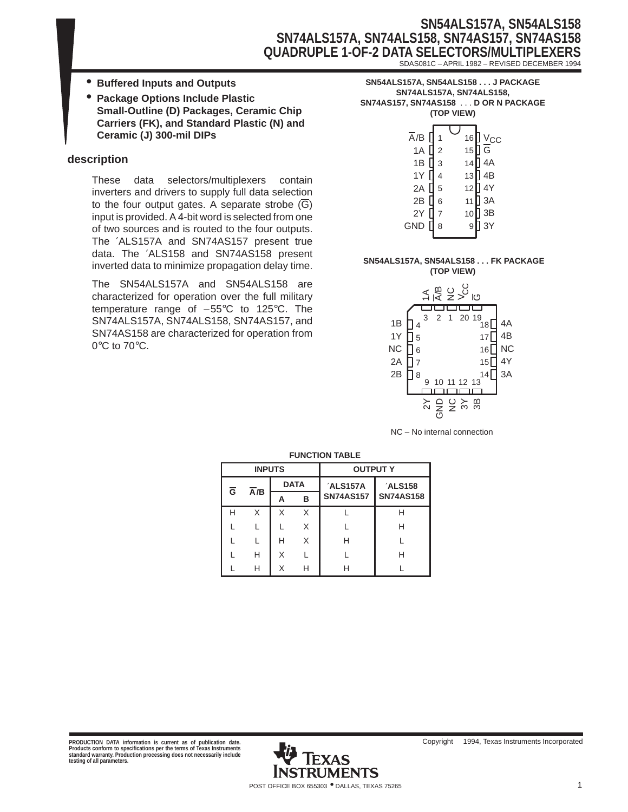## **SN54ALS157A, SN54ALS158 SN74ALS157A, SN74ALS158, SN74AS157, SN74AS158 QUADRUPLE 1-OF-2 DATA SELECTORS/MULTIPL** SDAS081C – APRIL 1982 – REVISED DECEMBER 1994

- **Buffered Inputs and Outputs**
- **Package Options Include Plastic Small-Outline (D) Packages, Ceramic Chip Carriers (FK), and Standard Plastic (N) and Ceramic (J) 300-mil DIPs**

#### **description**

These data selectors/multiplexers contain inverters and drivers to supply full data selection to the four output gates. A separate strobe (G) input is provided. A 4-bit word is selected from one of two sources and is routed to the four outputs. The ′ALS157A and SN74AS157 present true data. The ′ALS158 and SN74AS158 present inverted data to minimize propagation delay time.

The SN54ALS157A and SN54ALS158 are characterized for operation over the full military temperature range of –55°C to 125°C. The SN74ALS157A, SN74ALS158, SN74AS157, and SN74AS158 are characterized for operation from 0°C to 70°C.

| SN54ALS157A. SN54ALS158 J PACKAGE   |  |
|-------------------------------------|--|
| SN74ALS157A. SN74ALS158.            |  |
| SN74AS157, SN74AS158 D OR N PACKAGE |  |
| (TOP VIEW)                          |  |
|                                     |  |

| $\overline{A}/B$ |                | 16 | <u>J v<sub>cc</sub></u> |
|------------------|----------------|----|-------------------------|
| 1A               | $\overline{2}$ | 15 | $\overline{G}$          |
| 1B               | 3              | 14 | 4A                      |
| 1Y [             | 4              | 13 | ] 4B                    |
| 2A               | 5              | 12 | ] 4Y                    |
| 2B               | 6              | 11 | 3A                      |
| 2Y               | 7              | 10 | 3B                      |
| GND              | 8              | 9  | 3Y                      |
|                  |                |    |                         |

#### **SN54ALS157A, SN54ALS158 . . . FK PACKAGE (TOP VIEW)**



NC – No internal connection

|                         | <b>FUNGTION IADLE</b> |                         |   |                  |                  |         |  |  |  |  |
|-------------------------|-----------------------|-------------------------|---|------------------|------------------|---------|--|--|--|--|
|                         | <b>INPUTS</b>         |                         |   | <b>OUTPUT Y</b>  |                  |         |  |  |  |  |
| $\overline{\mathsf{G}}$ | $\overline{A}/B$      | <b>DATA</b><br>'ALS157A |   |                  |                  | 'ALS158 |  |  |  |  |
|                         |                       | А                       | в | <b>SN74AS157</b> | <b>SN74AS158</b> |         |  |  |  |  |
| н                       | X                     | X                       | X |                  | н                |         |  |  |  |  |
|                         |                       |                         | X |                  | н                |         |  |  |  |  |
|                         |                       | н                       | X | н                |                  |         |  |  |  |  |
|                         | н                     | х                       |   |                  | н                |         |  |  |  |  |
|                         | н                     | X                       | н |                  |                  |         |  |  |  |  |

#### **FUNCTION TABLE**

PRODUCTION DATA information is current as of publication date.<br>Products conform to specifications per the terms of Texas Instruments<br>standard warranty. Production processing does not necessarily include<br>testing of all para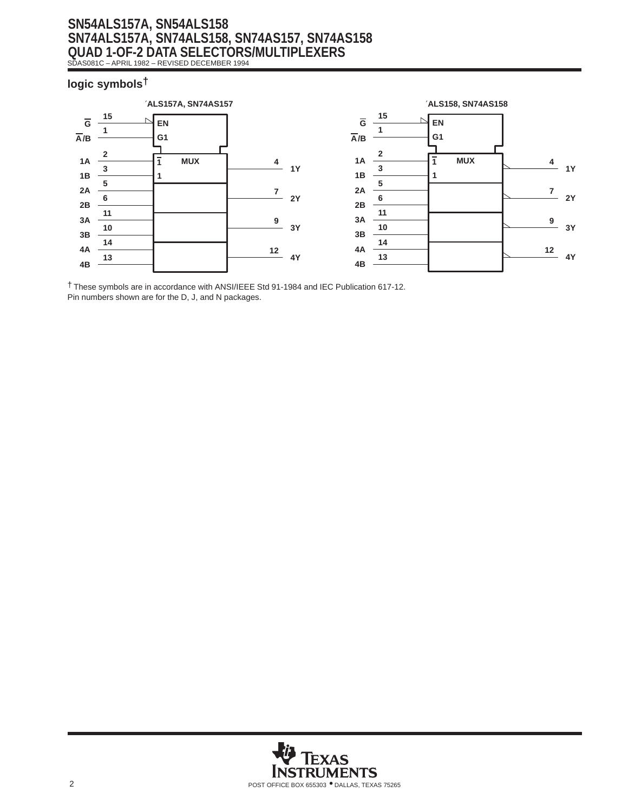## **SN54ALS157A, SN54ALS158 SN74ALS157A, SN74ALS158, SN74AS157, SN74AS158 QUAD 1-OF-2 DATA SELECTORS/MULTIPLEXERS** SDAS081C – APRIL 1982 – REVISED DECEMBER 1994

### **logic symbols†**



† These symbols are in accordance with ANSI/IEEE Std 91-1984 and IEC Publication 617-12. Pin numbers shown are for the D, J, and N packages.

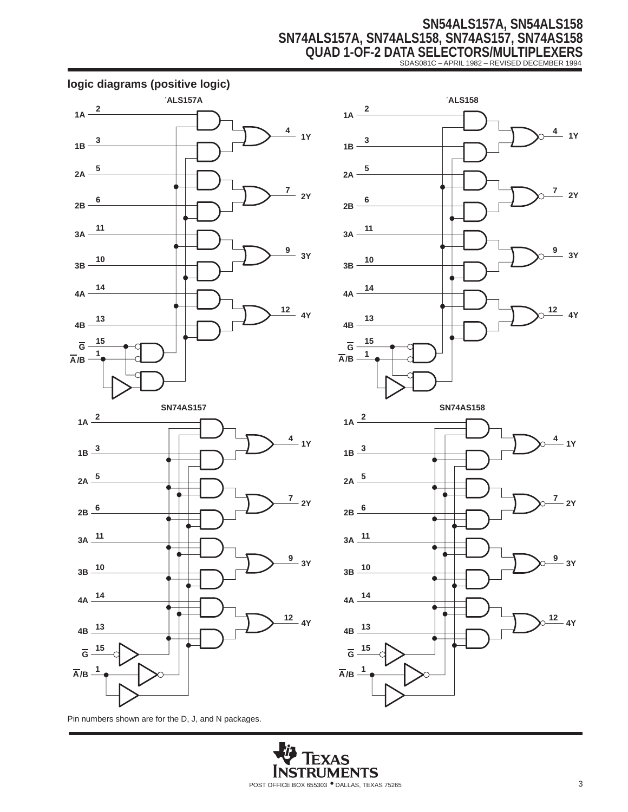# **SN54ALS157A, SN54ALS158 SN74ALS157A, SN74ALS158, SN74AS157, SN74AS158 QUAD 1-OF-2 DATA SELECTORS/MULTIPLEXERS** SDAS081C – APRIL 1982 – REVISED DECEMBER 1994





Pin numbers shown are for the D, J, and N packages.

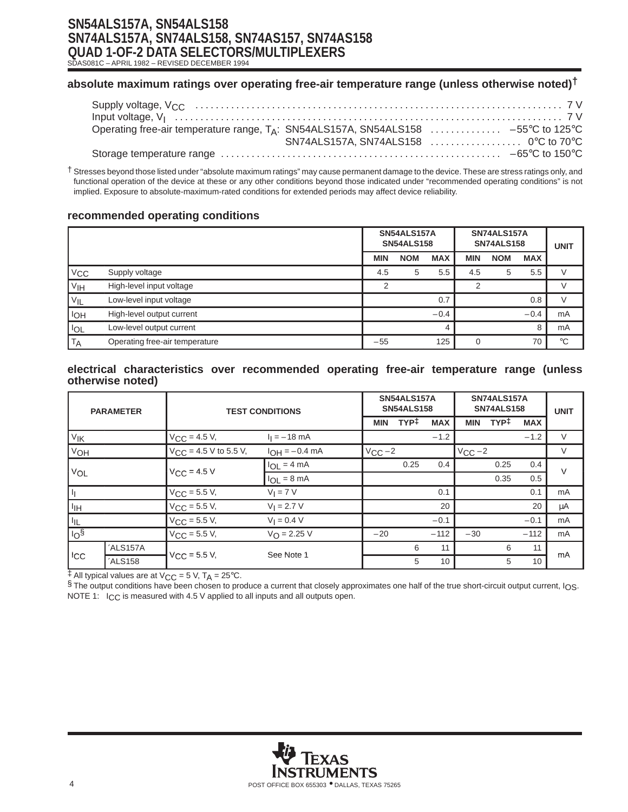# **SN54ALS157A, SN54ALS158 SN74ALS157A, SN74ALS158, SN74AS157, SN74AS158 QUAD 1-OF-2 DATA SELECTORS/MULTIPLEXERS**

SDAS081C – APRIL 1982 – REVISED DECEMBER 1994

### **absolute maximum ratings over operating free-air temperature range (unless otherwise noted)†**

| Operating free-air temperature range, TA: SN54ALS157A, SN54ALS158  -55°C to 125°C |  |
|-----------------------------------------------------------------------------------|--|
| SN74ALS157A, SN74ALS158  0°C to 70°C                                              |  |
|                                                                                   |  |

† Stresses beyond those listed under "absolute maximum ratings" may cause permanent damage to the device. These are stress ratings only, and functional operation of the device at these or any other conditions beyond those indicated under "recommended operating conditions" is not implied. Exposure to absolute-maximum-rated conditions for extended periods may affect device reliability.

#### **recommended operating conditions**

|                 |                                |            | SN54ALS157A<br><b>SN54ALS158</b> |            |            | SN74ALS157A<br><b>SN74ALS158</b> |            | <b>UNIT</b> |
|-----------------|--------------------------------|------------|----------------------------------|------------|------------|----------------------------------|------------|-------------|
|                 |                                | <b>MIN</b> | <b>NOM</b>                       | <b>MAX</b> | <b>MIN</b> | <b>NOM</b>                       | <b>MAX</b> |             |
| $V_{CC}$        | Supply voltage                 | 4.5        | 5                                | 5.5        | 4.5        | 5                                | 5.5        |             |
| V <sub>IH</sub> | High-level input voltage       |            |                                  |            | ◠          |                                  |            |             |
| $V_{IL}$        | Low-level input voltage        |            |                                  | 0.7        |            |                                  | 0.8        |             |
| loh             | High-level output current      |            |                                  | $-0.4$     |            |                                  | $-0.4$     | mA          |
| lol             | Low-level output current       |            |                                  |            |            |                                  | 8          | mA          |
| <b>TA</b>       | Operating free-air temperature | $-55$      |                                  | 125        |            |                                  | 70         | $^{\circ}C$ |

#### **electrical characteristics over recommended operating free-air temperature range (unless otherwise noted)**

| <b>PARAMETER</b>              |          | <b>TEST CONDITIONS</b>                    |                                | SN54ALS157A<br><b>SN54ALS158</b> |                  |            | SN74ALS157A<br><b>SN74ALS158</b> |                  |            | <b>UNIT</b> |
|-------------------------------|----------|-------------------------------------------|--------------------------------|----------------------------------|------------------|------------|----------------------------------|------------------|------------|-------------|
|                               |          |                                           |                                | <b>MIN</b>                       | TYP <sup>‡</sup> | <b>MAX</b> | <b>MIN</b>                       | TYP <sup>‡</sup> | <b>MAX</b> |             |
| VIK                           |          | $V_{\text{CC}} = 4.5 V,$                  | $I_1 = -18$ mA                 |                                  |                  | $-1.2$     |                                  |                  | $-1.2$     | V           |
| V <sub>OH</sub>               |          | $V_{\text{CC}} = 4.5 \text{ V}$ to 5.5 V, | $I_{OH} = -0.4$ mA             | $V_{CC}$ -2                      |                  |            | $V_{CC}$ -2                      |                  |            | V           |
|                               |          |                                           | $I_{\text{OI}} = 4 \text{ mA}$ |                                  | 0.25             | 0.4        |                                  | 0.25             | 0.4        | $\vee$      |
| VOL                           |          | $V_{CC}$ = 4.5 V                          | $I_{OL} = 8 \text{ mA}$        |                                  |                  |            |                                  | 0.35             | 0.5        |             |
| Ŀη                            |          | $V_{CC}$ = 5.5 V,                         | $V_I = 7 V$                    |                                  |                  | 0.1        |                                  |                  | 0.1        | mA          |
| $\vert$ $\vert$ <sub>IH</sub> |          | $V_{\rm CC}$ = 5.5 V,                     | $V_1 = 2.7 V$                  |                                  |                  | 20         |                                  |                  | 20         | μA          |
| $\vert$ $\vert_{\mathsf{IL}}$ |          | $V_{\rm CC}$ = 5.5 V,                     | $V_1 = 0.4 V$                  |                                  |                  | $-0.1$     |                                  |                  | $-0.1$     | mA          |
| $\log$                        |          | $V_{\text{CC}} = 5.5 V,$                  | $V_{\Omega} = 2.25 V$          | $-20$                            |                  | $-112$     | $-30$                            |                  | $-112$     | mA          |
|                               | 'ALS157A |                                           | See Note 1                     |                                  | 6                | 11         |                                  | 6                | 11         | mA          |
| ICC                           | 'ALS158  | $V_{CC}$ = 5.5 V,                         |                                |                                  | 5                | 10         |                                  | 5                | 10         |             |

 $\ddagger$  All typical values are at V<sub>CC</sub> = 5 V, T<sub>A</sub> = 25°C.

§ The output conditions have been chosen to produce a current that closely approximates one half of the true short-circuit output current, IOS. NOTE 1: I<sub>CC</sub> is measured with 4.5 V applied to all inputs and all outputs open.

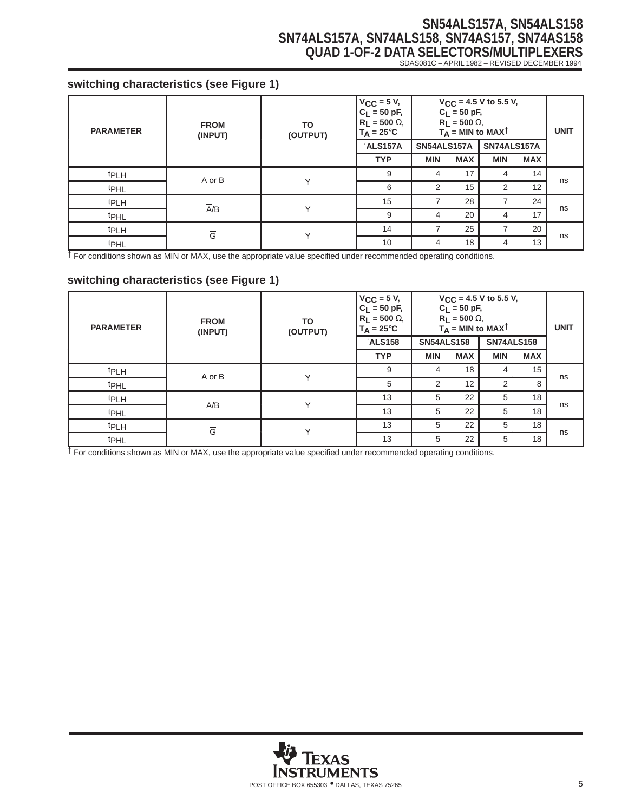# **SN54ALS157A, SN54ALS158 SN74ALS157A, SN74ALS158, SN74AS157, SN74AS158 QUAD 1-OF-2 DATA SELECTORS/MULTIPLEXERS** SDAS081C – APRIL 1982 – REVISED DECEMBER 1994

## **switching characteristics (see Figure 1)**

| <b>PARAMETER</b> | <b>FROM</b><br>(INPUT) | TO<br>(OUTPUT) | $V_{CC}$ = 5 V,<br>$C_L = 50$ pF,<br>$R_L$ = 500 $\Omega$ ,<br>$T_A = 25^{\circ}C$ |                          | $C_L = 50$ pF,<br>$R_L = 500 \Omega$ | $V_{CC}$ = 4.5 V to 5.5 V,<br>$T_A = MIN$ to MAXT |            | <b>UNIT</b> |
|------------------|------------------------|----------------|------------------------------------------------------------------------------------|--------------------------|--------------------------------------|---------------------------------------------------|------------|-------------|
|                  |                        |                | 'ALS157A                                                                           | SN54ALS157A              |                                      | SN74ALS157A                                       |            |             |
|                  |                        |                | <b>TYP</b>                                                                         | <b>MIN</b>               | <b>MAX</b>                           | <b>MIN</b>                                        | <b>MAX</b> |             |
| <sup>t</sup> PLH | A or B                 | $\checkmark$   | 9                                                                                  | 4                        | 17                                   | 4                                                 | 14         | ns          |
| t <sub>PHL</sub> |                        |                | 6                                                                                  | 2                        | 15                                   | $\overline{2}$                                    | 12         |             |
| <b>tPLH</b>      | $\overline{A}/B$       | $\checkmark$   | 15                                                                                 | $\overline{\phantom{a}}$ | 28                                   |                                                   | 24         |             |
| <sup>t</sup> PHL |                        |                | 9                                                                                  | 4                        | 20                                   | 4                                                 | 17         | ns          |
| <sup>t</sup> PLH | $\overline{G}$         | $\checkmark$   | 14                                                                                 |                          | 25                                   |                                                   | 20         |             |
| <sup>t</sup> PHL |                        |                | 10                                                                                 | 4                        | 18                                   | 4                                                 | 13         | ns          |

† For conditions shown as MIN or MAX, use the appropriate value specified under recommended operating conditions.

### **switching characteristics (see Figure 1)**

| <b>PARAMETER</b> | <b>FROM</b><br>(INPUT) | TO<br>(OUTPUT) | $V_{CC}$ = 5 V,<br>$C_L = 50 pF,$<br>$R_L$ = 500 $\Omega$ ,<br>$T_A = 25^{\circ}C$ |                   | $C_L = 50 pF,$<br>$R_L$ = 500 $\Omega$ ,<br>$T_A$ = MIN to MAXT | $V_{CC}$ = 4.5 V to 5.5 V, |            | <b>UNIT</b> |
|------------------|------------------------|----------------|------------------------------------------------------------------------------------|-------------------|-----------------------------------------------------------------|----------------------------|------------|-------------|
|                  |                        |                | <b>ALS158</b>                                                                      | <b>SN54ALS158</b> |                                                                 | <b>SN74ALS158</b>          |            |             |
|                  |                        |                | <b>TYP</b>                                                                         | <b>MIN</b>        | <b>MAX</b>                                                      | <b>MIN</b>                 | <b>MAX</b> |             |
| t <sub>PLH</sub> | A or B                 | Y              | 9                                                                                  | 4                 | 18                                                              | 4                          | 15         | ns          |
| t <sub>PHL</sub> |                        |                | 5                                                                                  | $\overline{2}$    | 12                                                              | $\overline{2}$             | 8          |             |
| <sup>t</sup> PLH | $\overline{A}/B$       | $\checkmark$   | 13                                                                                 | 5                 | 22                                                              | 5                          | 18         | ns          |
| t <sub>PHL</sub> |                        |                | 13                                                                                 | 5                 | 22                                                              | 5                          | 18         |             |
| t <sub>PLH</sub> | $\overline{G}$         | $\checkmark$   | 13                                                                                 | 5                 | 22                                                              | 5                          | 18         | ns          |
| <sup>t</sup> PHL |                        |                | 13                                                                                 | 5                 | 22                                                              | 5                          | 18         |             |

† For conditions shown as MIN or MAX, use the appropriate value specified under recommended operating conditions.

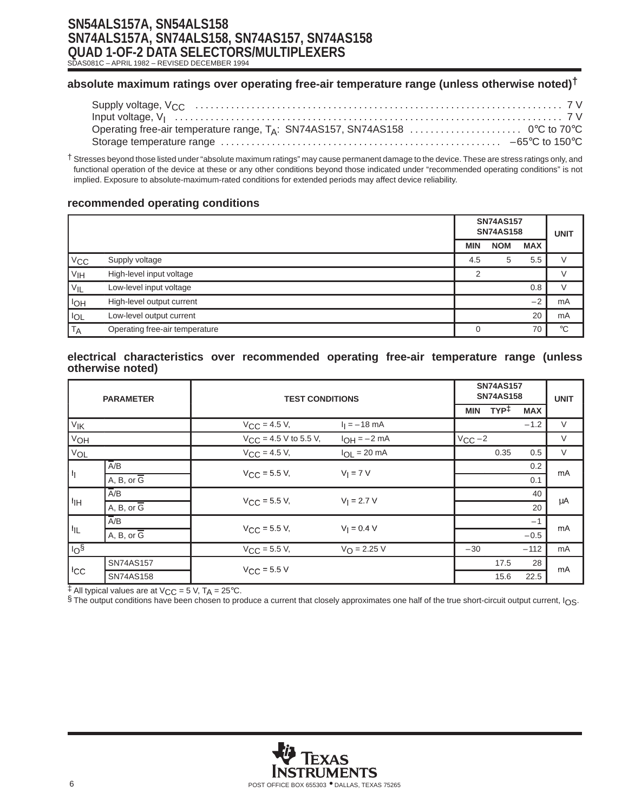# **SN54ALS157A, SN54ALS158 SN74ALS157A, SN74ALS158, SN74AS157, SN74AS158 QUAD 1-OF-2 DATA SELECTORS/MULTIPLEXERS**

SDAS081C – APRIL 1982 – REVISED DECEMBER 1994

## **absolute maximum ratings over operating free-air temperature range (unless otherwise noted)†**

| Storage temperature range …………………………………………………………… –65°C to 150°C |  |
|------------------------------------------------------------------|--|

† Stresses beyond those listed under "absolute maximum ratings" may cause permanent damage to the device. These are stress ratings only, and functional operation of the device at these or any other conditions beyond those indicated under "recommended operating conditions" is not implied. Exposure to absolute-maximum-rated conditions for extended periods may affect device reliability.

#### **recommended operating conditions**

|                   |                                |            | <b>SN74AS157</b><br><b>SN74AS158</b> |            | <b>UNIT</b> |
|-------------------|--------------------------------|------------|--------------------------------------|------------|-------------|
|                   |                                | <b>MIN</b> | <b>NOM</b>                           | <b>MAX</b> |             |
| $ V_{CC} $        | Supply voltage                 | 4.5        | 5                                    | 5.5        | $\sqrt{}$   |
| V <sub>IH</sub>   | High-level input voltage       | っ          |                                      |            |             |
| $V_{\mathsf{IL}}$ | Low-level input voltage        |            |                                      | 0.8        |             |
| <b>I</b> OH       | High-level output current      |            |                                      | $-2$       | mA          |
| $I_{OL}$          | Low-level output current       |            |                                      | 20         | mA          |
| <b>TA</b>         | Operating free-air temperature |            |                                      | 70         | $^{\circ}C$ |

#### **electrical characteristics over recommended operating free-air temperature range (unless otherwise noted)**

| <b>PARAMETER</b>  |                           | <b>TEST CONDITIONS</b>     |                       |             | <b>SN74AS157</b><br><b>SN74AS158</b> |            |        |    |
|-------------------|---------------------------|----------------------------|-----------------------|-------------|--------------------------------------|------------|--------|----|
|                   |                           |                            |                       | <b>MIN</b>  | TYP <sup>‡</sup>                     | <b>MAX</b> |        |    |
| V <sub>IK</sub>   |                           | $V_{\text{CC}} = 4.5 V,$   | $I_1 = -18$ mA        |             |                                      | $-1.2$     | $\vee$ |    |
| V <sub>OH</sub>   |                           | $V_{CC}$ = 4.5 V to 5.5 V, | $I_{OH} = -2 mA$      | $V_{CC}$ -2 |                                      |            | V      |    |
| V <sub>OL</sub>   |                           | $V_{CC} = 4.5 V,$          | $I_{OL}$ = 20 mA      |             | 0.35                                 | 0.5        | $\vee$ |    |
|                   | $\overline{A/B}$          | $V_{\rm CC}$ = 5.5 V,      |                       | $V_1 = 7 V$ |                                      |            | 0.2    | mA |
| h                 | A, B, or $\overline{G}$   |                            |                       |             |                                      | 0.1        |        |    |
|                   | $\overline{A}/B$          |                            | $V_1 = 2.7 V$         |             |                                      | 40         |        |    |
| ∣ I <sub>IH</sub> | $A, B, or \overline{G}$   | $V_{\text{CC}} = 5.5 V,$   |                       |             |                                      | 20         | μA     |    |
|                   | $\overline{A/B}$          |                            | $V_1 = 0.4 V$         |             |                                      | $-1$       |        |    |
| I <sub>IL</sub>   | $A, B, or$ $\overline{G}$ | $V_{\text{CC}} = 5.5 V,$   |                       |             |                                      | $-0.5$     | mA     |    |
| 10 <sup>6</sup>   |                           | $V_{CC}$ = 5.5 V,          | $V_{\Omega} = 2.25 V$ | $-30$       |                                      | $-112$     | mA     |    |
|                   | SN74AS157                 | $V_{CC}$ = 5.5 V           |                       |             | 17.5                                 | 28         | mA     |    |
| ICC               | SN74AS158                 |                            |                       |             | 15.6                                 | 22.5       |        |    |

 $\ddagger$  All typical values are at V<sub>CC</sub> = 5 V, T<sub>A</sub> = 25°C.

§ The output conditions have been chosen to produce a current that closely approximates one half of the true short-circuit output current, I<sub>OS</sub>.

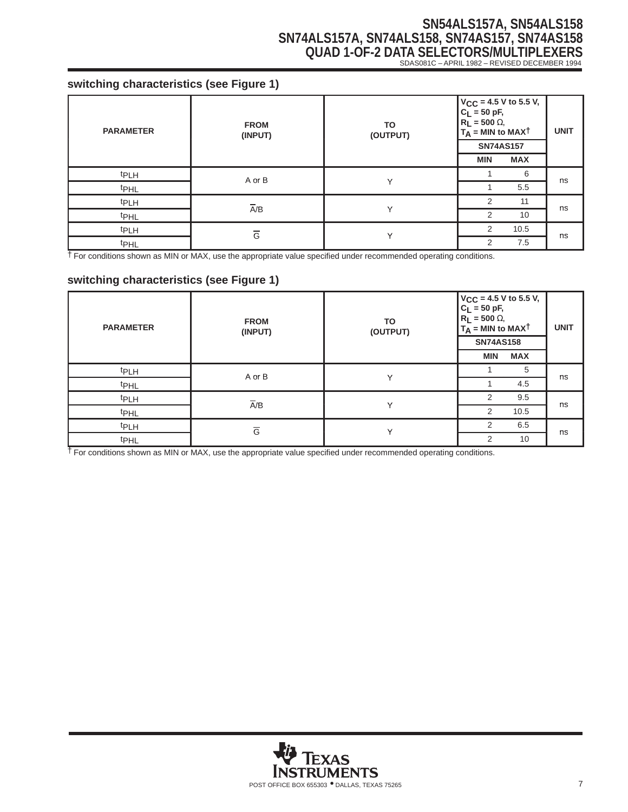# **SN54ALS157A, SN54ALS158 SN74ALS157A, SN74ALS158, SN74AS157, SN74AS158 QUAD 1-OF-2 DATA SELECTORS/MULTIPLEXERS** SDAS081C – APRIL 1982 – REVISED DECEMBER 1994

### **switching characteristics (see Figure 1)**

| <b>PARAMETER</b> | <b>FROM</b><br>(INPUT) | <b>TO</b><br>(OUTPUT) | $V_{\text{CC}} = 4.5 \text{ V} \text{ to } 5.5 \text{ V}$<br>$C_{\text{L}} = 50 \text{ pF}$ ,<br>$R_{\text{L}} = 500 \Omega$ ,<br>$T_A = MIN to MAX†$<br><b>SN74AS157</b><br><b>MIN</b> | <b>UNIT</b> |    |
|------------------|------------------------|-----------------------|-----------------------------------------------------------------------------------------------------------------------------------------------------------------------------------------|-------------|----|
| t <sub>PLH</sub> | A or B                 |                       |                                                                                                                                                                                         | 6           |    |
| t <sub>PHL</sub> |                        | Υ                     |                                                                                                                                                                                         | 5.5         | ns |
| t <sub>PLH</sub> |                        | $\checkmark$          | $\mathcal{P}$                                                                                                                                                                           | 11          |    |
| t <sub>PHL</sub> | $\overline{A/B}$       |                       | 2                                                                                                                                                                                       | 10          | ns |
| tpLH             | $\overline{G}$         | ٧                     | $\mathcal{P}$                                                                                                                                                                           | 10.5        |    |
| t <sub>PHL</sub> |                        |                       | っ                                                                                                                                                                                       | 7.5         | ns |

† For conditions shown as MIN or MAX, use the appropriate value specified under recommended operating conditions.

### **switching characteristics (see Figure 1)**

| <b>PARAMETER</b> | <b>FROM</b><br>(INPUT) | <b>TO</b><br>(OUTPUT) | $V_{\text{CC}} = 4.5 \text{ V}$ to 5.5 V,<br>C <sub>L</sub> = 50 pF,<br>R <sub>L</sub> = 500 Ω,<br>$T_A$ = MIN to MAX <sup>†</sup><br><b>SN74AS158</b><br><b>MIN</b><br><b>MAX</b> |      | <b>UNIT</b> |
|------------------|------------------------|-----------------------|------------------------------------------------------------------------------------------------------------------------------------------------------------------------------------|------|-------------|
| <b>tPLH</b>      | A or B                 | Υ                     |                                                                                                                                                                                    | 5    | ns          |
| tp <sub>HL</sub> |                        |                       |                                                                                                                                                                                    | 4.5  |             |
| t <sub>PLH</sub> | $\overline{A}/B$       | $\checkmark$          | 2                                                                                                                                                                                  | 9.5  | ns          |
| t <sub>PHL</sub> |                        |                       | 2                                                                                                                                                                                  | 10.5 |             |
| t <sub>PLH</sub> | $\overline{G}$         | $\checkmark$          | 2                                                                                                                                                                                  | 6.5  | ns          |
| t <sub>PHL</sub> |                        |                       | 2                                                                                                                                                                                  | 10   |             |

† For conditions shown as MIN or MAX, use the appropriate value specified under recommended operating conditions.